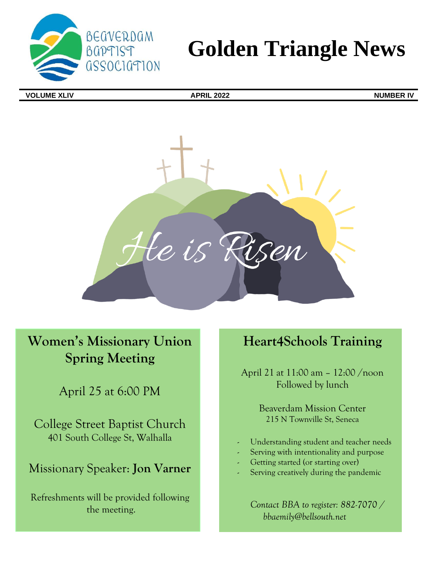

# **Golden Triangle News**

**VOLUME XLIV APRIL 2022 NUMBER IV**



# **Women's Missionary Union Spring Meeting**

April 25 at 6:00 PM

College Street Baptist Church 401 South College St, Walhalla

# Missionary Speaker: **Jon Varner**

Refreshments will be provided following the meeting.

# **Heart4Schools Training**

April 21 at 11:00 am – 12:00 /noon Followed by lunch

> Beaverdam Mission Center 215 N Townville St, Seneca

- Understanding student and teacher needs
- Serving with intentionality and purpose
- Getting started (or starting over)
- Serving creatively during the pandemic

*Contact BBA to register: 882-7070 / bbaemily@bellsouth.net*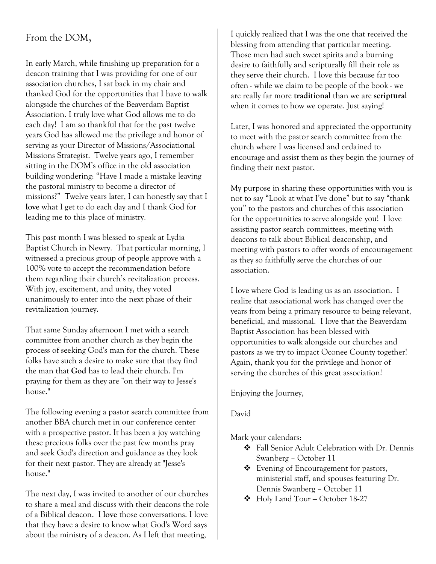# From the DOM,

In early March, while finishing up preparation for a deacon training that I was providing for one of our association churches, I sat back in my chair and thanked God for the opportunities that I have to walk alongside the churches of the Beaverdam Baptist Association. I truly love what God allows me to do each day! I am so thankful that for the past twelve years God has allowed me the privilege and honor of serving as your Director of Missions/Associational Missions Strategist. Twelve years ago, I remember sitting in the DOM's office in the old association building wondering: "Have I made a mistake leaving the pastoral ministry to become a director of missions?" Twelve years later, I can honestly say that I **love** what I get to do each day and I thank God for leading me to this place of ministry.

This past month I was blessed to speak at Lydia Baptist Church in Newry. That particular morning, I witnessed a precious group of people approve with a 100% vote to accept the recommendation before them regarding their church's revitalization process. With joy, excitement, and unity, they voted unanimously to enter into the next phase of their revitalization journey.

That same Sunday afternoon I met with a search committee from another church as they begin the process of seeking God's man for the church. These folks have such a desire to make sure that they find the man that **God** has to lead their church. I'm praying for them as they are "on their way to Jesse's house."

The following evening a pastor search committee from another BBA church met in our conference center with a prospective pastor. It has been a joy watching these precious folks over the past few months pray and seek God's direction and guidance as they look for their next pastor. They are already at "Jesse's house."

The next day, I was invited to another of our churches to share a meal and discuss with their deacons the role of a Biblical deacon. I **love** those conversations. I love that they have a desire to know what God's Word says about the ministry of a deacon. As I left that meeting,

I quickly realized that I was the one that received the blessing from attending that particular meeting. Those men had such sweet spirits and a burning desire to faithfully and scripturally fill their role as they serve their church. I love this because far too often - while we claim to be people of the book - we are really far more **traditional** than we are **scriptural** when it comes to how we operate. Just saying!

Later, I was honored and appreciated the opportunity to meet with the pastor search committee from the church where I was licensed and ordained to encourage and assist them as they begin the journey of finding their next pastor.

My purpose in sharing these opportunities with you is not to say "Look at what I've done" but to say "thank you" to the pastors and churches of this association for the opportunities to serve alongside you! I love assisting pastor search committees, meeting with deacons to talk about Biblical deaconship, and meeting with pastors to offer words of encouragement as they so faithfully serve the churches of our association.

I love where God is leading us as an association. I realize that associational work has changed over the years from being a primary resource to being relevant, beneficial, and missional. I love that the Beaverdam Baptist Association has been blessed with opportunities to walk alongside our churches and pastors as we try to impact Oconee County together! Again, thank you for the privilege and honor of serving the churches of this great association!

Enjoying the Journey,

### David

Mark your calendars:

- ❖ Fall Senior Adult Celebration with Dr. Dennis Swanberg – October 11
- ❖ Evening of Encouragement for pastors, ministerial staff, and spouses featuring Dr. Dennis Swanberg – October 11
- ❖ Holy Land Tour October 18-27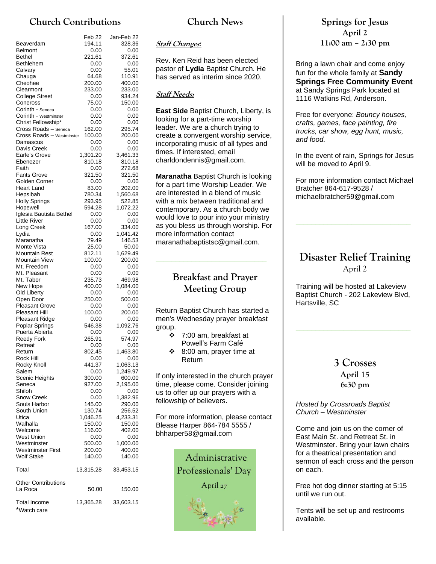# **Church Contributions**

|                                                   | Feb 22           | Jan-Feb 22         |
|---------------------------------------------------|------------------|--------------------|
| Beaverdam                                         | 194.11           | 328.36             |
| <b>Belmont</b>                                    | 0.00             | 0.00               |
| Bethel                                            | 221.61           | 372.61             |
| Bethlehem<br>Calvary                              | 0.00<br>0.00     | 0.00               |
| Chauga                                            | 64.68            | 55.01<br>110.91    |
| Cheohee                                           | 200.00           | 400.00             |
| Clearmont                                         | 233.00           | 233.00             |
| <b>College Street</b>                             | 0.00             | 934.24             |
| Coneross                                          | 75.00            | 150.00             |
| Corinth - Seneca                                  | 0.00             | 0.00               |
| Corinth - Westminster                             | 0.00             | 0.00               |
| Christ Fellowship*                                | 0.00             | 0.00               |
| Cross Roads - Seneca<br>Cross Roads - Westminster | 162.00           | 295.74             |
| Damascus                                          | 100.00<br>0.00   | 200.00<br>0.00     |
| Davis Creek                                       | 0.00             | 0.00               |
| Earle's Grove                                     | 1,301.20         | 3,461.33           |
| Ebenezer                                          | 810.18           | 810.18             |
| Faith                                             | 0.00             | 272.68             |
| <b>Fants Grove</b>                                | 321.50           | 321.50             |
| Golden Corner                                     | 0.00             | 0.00               |
| Heart Land                                        | 83.00            | 202.00             |
| Hepsibah<br><b>Holly Springs</b>                  | 780.34<br>293.95 | 1,560.68<br>522.85 |
| Hopewell                                          | 594.28           | 1,072.22           |
| Iglesia Bautista Bethel                           | 0.00             | 0.00               |
| <b>Little River</b>                               | 0.00             | 0.00               |
| Long Creek                                        | 167.00           | 334.00             |
| Lydia                                             | 0.00             | 1,041.42           |
| Maranatha                                         | 79.49            | 146.53             |
| Monte Vista                                       | 25.00            | 50.00              |
| <b>Mountain Rest</b>                              | 812.11           | 1,629.49           |
| <b>Mountain View</b><br>Mt. Freedom               | 100.00<br>0.00   | 200.00<br>0.00     |
| Mt. Pleasant                                      | 0.00             | 0.00               |
| Mt. Tabor                                         | 235.73           | 469.98             |
| New Hope                                          | 400.00           | 1,084.00           |
| Old Liberty                                       | 0.00             | 0.00               |
| Open Door                                         | 250.00           | 500.00             |
| <b>Pleasant Grove</b>                             | 0.00             | 0.00               |
| <b>Pleasant Hill</b>                              | 100.00           | 200.00             |
| Pleasant Ridge                                    | 0.00             | 0.00               |
| Poplar Springs<br>Puerta Abierta                  | 546.38<br>0.00   | 1,092.76<br>0.00   |
| Reedy Fork                                        | 265.91           | 574.97             |
| Retreat                                           | 0.00             | 0.00               |
| Return                                            | 802.45           | 1,463.80           |
| Rock Hill                                         | 0.00             | 0.00               |
| Rocky Knoll                                       | 441.37           | 1,063.13           |
| Salem                                             | 0.00             | 1,249.97           |
| Scenic Heights                                    | 300.00           | 600.00             |
| Seneca<br>Shiloh                                  | 927.00<br>0.00   | 2,195.00<br>0.00   |
| Snow Creek                                        | 0.00             | 1,382.96           |
| Souls Harbor                                      | 145.00           | 290.00             |
| South Union                                       | 130.74           | 256.52             |
| Utica                                             | 1,046.25         | 4,233.31           |
| Walhalla                                          | 150.00           | 150.00             |
| Welcome                                           | 116.00           | 402.00             |
| <b>West Union</b>                                 | 0.00             | 0.00               |
| Westminster                                       | 500.00           | 1,000.00<br>400.00 |
| Westminster First<br><b>Wolf Stake</b>            | 200.00<br>140.00 | 140.00             |
|                                                   |                  |                    |
| Total                                             | 13,315.28        | 33,453.15          |
| <b>Other Contributions</b>                        |                  |                    |
| La Roca                                           | 50.00            | 150.00             |
|                                                   |                  |                    |
| Total Income<br>*Watch care                       | 13,365.28        | 33,603.15          |

### **Church News**

#### **Staff Changes***:*

Rev. Ken Reid has been elected pastor of **Lydia** Baptist Church. He has served as interim since 2020.

#### **Staff Needs:**

**East Side** Baptist Church, Liberty, is looking for a part-time worship leader. We are a church trying to create a convergent worship service, incorporating music of all types and times. If interested, email charldondennis@gmail.com.

**Maranatha** Baptist Church is looking for a part time Worship Leader. We are interested in a blend of music with a mix between traditional and contemporary. As a church body we would love to pour into your ministry as you bless us through worship. For more information contact maranathabaptistsc@gmail.com.

# **Breakfast and Prayer Meeting Group**

Return Baptist Church has started a men's Wednesday prayer breakfast group.

| ❖ | 7:00 am, breakfast at |  |
|---|-----------------------|--|
|   | Powell's Farm Café    |  |
|   |                       |  |

❖ 8:00 am, prayer time at Return

If only interested in the church prayer time, please come. Consider joining us to offer up our prayers with a fellowship of believers.

For more information, please contact Blease Harper 864-784 5555 / bhharper58@gmail.com



### **Springs for Jesus April 2 11:00 am – 2:30 pm**

Bring a lawn chair and come enjoy fun for the whole family at **Sandy Springs Free Community Event** at Sandy Springs Park located at 1116 Watkins Rd, Anderson.

Free for everyone: *Bouncy houses, crafts, games, face painting, fire trucks, car show, egg hunt, music, and food.* 

In the event of rain, Springs for Jesus will be moved to April 9.

For more information contact Michael Bratcher 864-617-9528 / michaelbratcher59@gmail.com

# **Disaster Relief Training** April 2

Training will be hosted at Lakeview Baptist Church - 202 Lakeview Blvd, Hartsville, SC

> **3 Crosses April 15 6:30 pm**

*Hosted by Crossroads Baptist Church – Westminster* 

Come and join us on the corner of East Main St. and Retreat St. in Westminster. Bring your lawn chairs for a theatrical presentation and sermon of each cross and the person on each.

Free hot dog dinner starting at 5:15 until we run out.

Tents will be set up and restrooms available.